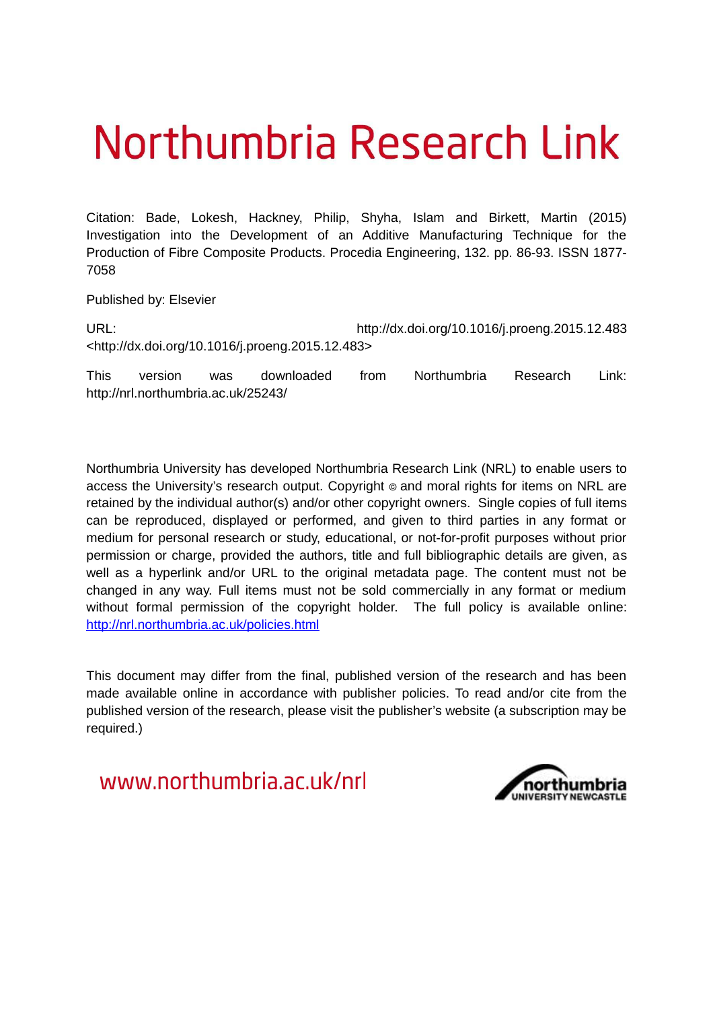# Northumbria Research Link

Citation: Bade, Lokesh, Hackney, Philip, Shyha, Islam and Birkett, Martin (2015) Investigation into the Development of an Additive Manufacturing Technique for the Production of Fibre Composite Products. Procedia Engineering, 132. pp. 86-93. ISSN 1877- 7058

Published by: Elsevier

URL: http://dx.doi.org/10.1016/j.proeng.2015.12.483 <http://dx.doi.org/10.1016/j.proeng.2015.12.483>

This version was downloaded from Northumbria Research Link: http://nrl.northumbria.ac.uk/25243/

Northumbria University has developed Northumbria Research Link (NRL) to enable users to access the University's research output. Copyright  $\circ$  and moral rights for items on NRL are retained by the individual author(s) and/or other copyright owners. Single copies of full items can be reproduced, displayed or performed, and given to third parties in any format or medium for personal research or study, educational, or not-for-profit purposes without prior permission or charge, provided the authors, title and full bibliographic details are given, as well as a hyperlink and/or URL to the original metadata page. The content must not be changed in any way. Full items must not be sold commercially in any format or medium without formal permission of the copyright holder. The full policy is available online: <http://nrl.northumbria.ac.uk/policies.html>

This document may differ from the final, published version of the research and has been made available online in accordance with publisher policies. To read and/or cite from the published version of the research, please visit the publisher's website (a subscription may be required.)

www.northumbria.ac.uk/nrl

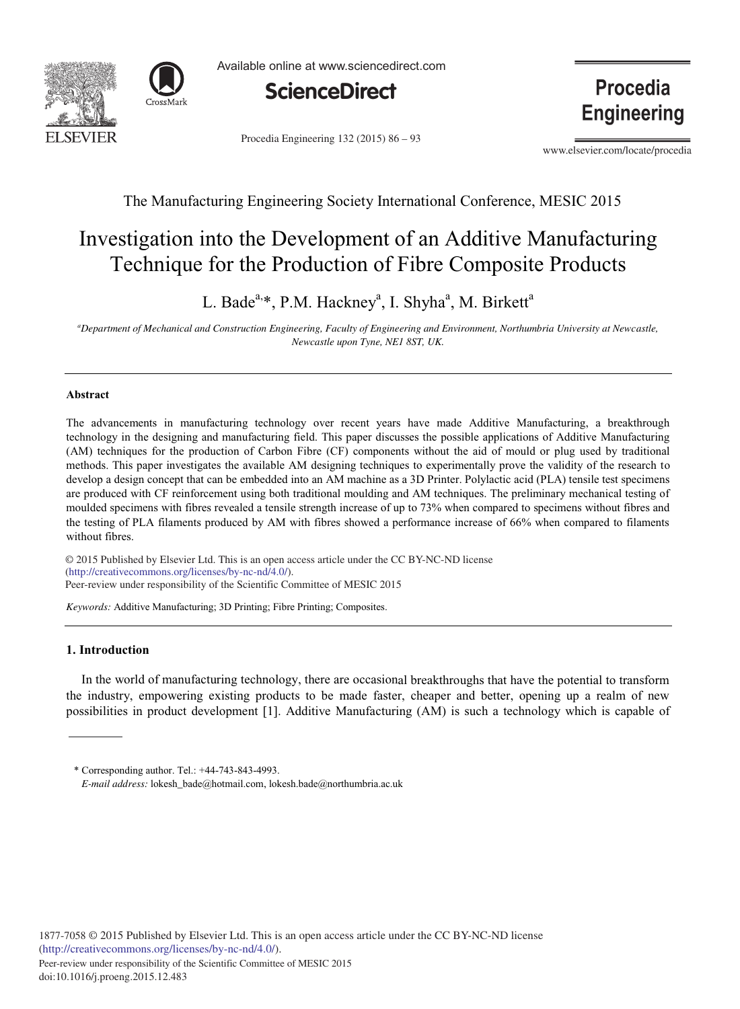



Available online at www.sciencedirect.com



Procedia Engineering 132 (2015) 86 - 93

**Procedia Engineering** 

www.elsevier.com/locate/procedia

### The Manufacturing Engineering Society International Conference, MESIC 2015

## Investigation into the Development of an Additive Manufacturing Technique for the Production of Fibre Composite Products

L. Bade<sup>a,\*</sup>, P.M. Hackney<sup>a</sup>, I. Shyha<sup>a</sup>, M. Birkett<sup>a</sup>

*<sup>a</sup>Department of Mechanical and Construction Engineering, Faculty of Engineering and Environment, Northumbria University at Newcastle, Newcastle upon Tyne, NE1 8ST, UK.*

#### **Abstract**

The advancements in manufacturing technology over recent years have made Additive Manufacturing, a breakthrough technology in the designing and manufacturing field. This paper discusses the possible applications of Additive Manufacturing (AM) techniques for the production of Carbon Fibre (CF) components without the aid of mould or plug used by traditional methods. This paper investigates the available AM designing techniques to experimentally prove the validity of the research to develop a design concept that can be embedded into an AM machine as a 3D Printer. Polylactic acid (PLA) tensile test specimens are produced with CF reinforcement using both traditional moulding and AM techniques. The preliminary mechanical testing of moulded specimens with fibres revealed a tensile strength increase of up to 73% when compared to specimens without fibres and the testing of PLA filaments produced by AM with fibres showed a performance increase of 66% when compared to filaments without fibres.

 $\degree$  2015 Fublished by Elsevier Ltd. This is an open at (http://creativecommons.org/licenses/by-nc-nd/4.0/). Peer-review under responsibility of the Scientific Committee of MESIC 2015. Peer-review under responsibility of the Scientific Committee of MESIC 2015© 2015 Published by Elsevier Ltd. This is an open access article under the CC BY-NC-ND license

*Keywords:* Additive Manufacturing; 3D Printing; Fibre Printing; Composites.

#### **1. Introduction**

In the world of manufacturing technology, there are occasional breakthroughs that have the potential to transform the industry, empowering existing products to be made faster, cheaper and better, opening up a realm of new possibilities in product development [1]. Additive Manufacturing (AM) is such a technology which is capable of

<sup>\*</sup> Corresponding author. Tel.: +44-743-843-4993. *E-mail address:* lokesh\_bade@hotmail.com, lokesh.bade@northumbria.ac.uk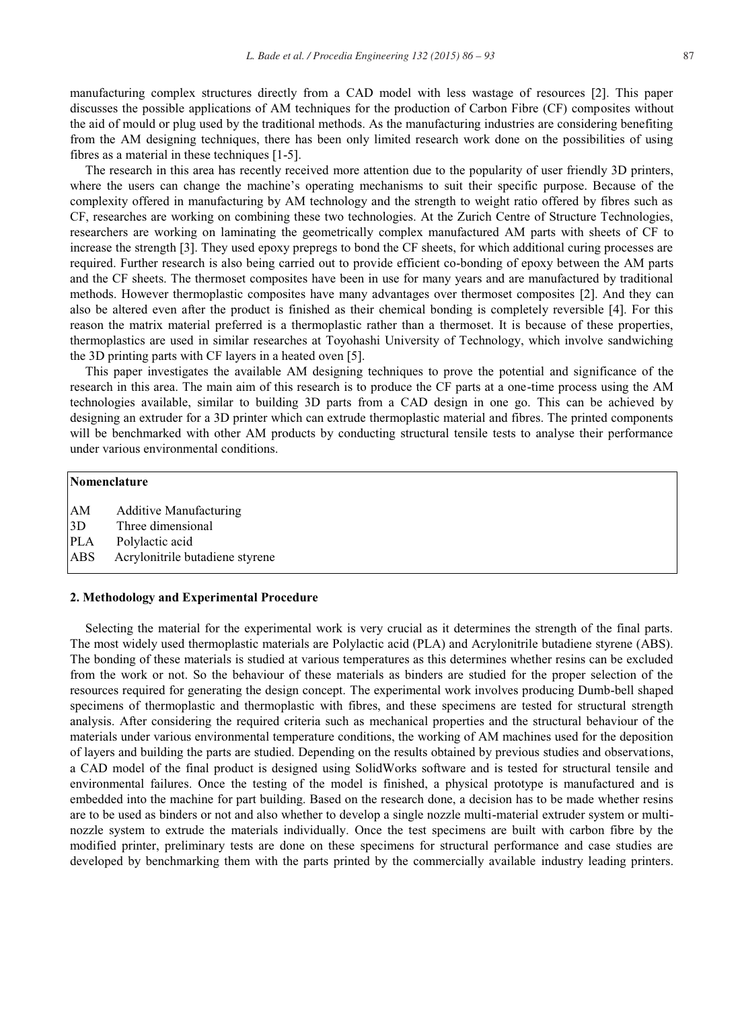manufacturing complex structures directly from a CAD model with less wastage of resources [2]. This paper discusses the possible applications of AM techniques for the production of Carbon Fibre (CF) composites without the aid of mould or plug used by the traditional methods. As the manufacturing industries are considering benefiting from the AM designing techniques, there has been only limited research work done on the possibilities of using fibres as a material in these techniques [1-5].

The research in this area has recently received more attention due to the popularity of user friendly 3D printers, where the users can change the machine's operating mechanisms to suit their specific purpose. Because of the complexity offered in manufacturing by AM technology and the strength to weight ratio offered by fibres such as CF, researches are working on combining these two technologies. At the Zurich Centre of Structure Technologies, researchers are working on laminating the geometrically complex manufactured AM parts with sheets of CF to increase the strength [3]. They used epoxy prepregs to bond the CF sheets, for which additional curing processes are required. Further research is also being carried out to provide efficient co-bonding of epoxy between the AM parts and the CF sheets. The thermoset composites have been in use for many years and are manufactured by traditional methods. However thermoplastic composites have many advantages over thermoset composites [2]. And they can also be altered even after the product is finished as their chemical bonding is completely reversible [4]. For this reason the matrix material preferred is a thermoplastic rather than a thermoset. It is because of these properties, thermoplastics are used in similar researches at Toyohashi University of Technology, which involve sandwiching the 3D printing parts with CF layers in a heated oven [5].

This paper investigates the available AM designing techniques to prove the potential and significance of the research in this area. The main aim of this research is to produce the CF parts at a one-time process using the AM technologies available, similar to building 3D parts from a CAD design in one go. This can be achieved by designing an extruder for a 3D printer which can extrude thermoplastic material and fibres. The printed components will be benchmarked with other AM products by conducting structural tensile tests to analyse their performance under various environmental conditions.

#### **Nomenclature**

- AM Additive Manufacturing
- 3D Three dimensional
- PLA Polylactic acid
- ABS Acrylonitrile butadiene styrene

#### **2. Methodology and Experimental Procedure**

Selecting the material for the experimental work is very crucial as it determines the strength of the final parts. The most widely used thermoplastic materials are Polylactic acid (PLA) and Acrylonitrile butadiene styrene (ABS). The bonding of these materials is studied at various temperatures as this determines whether resins can be excluded from the work or not. So the behaviour of these materials as binders are studied for the proper selection of the resources required for generating the design concept. The experimental work involves producing Dumb-bell shaped specimens of thermoplastic and thermoplastic with fibres, and these specimens are tested for structural strength analysis. After considering the required criteria such as mechanical properties and the structural behaviour of the materials under various environmental temperature conditions, the working of AM machines used for the deposition of layers and building the parts are studied. Depending on the results obtained by previous studies and observations, a CAD model of the final product is designed using SolidWorks software and is tested for structural tensile and environmental failures. Once the testing of the model is finished, a physical prototype is manufactured and is embedded into the machine for part building. Based on the research done, a decision has to be made whether resins are to be used as binders or not and also whether to develop a single nozzle multi-material extruder system or multinozzle system to extrude the materials individually. Once the test specimens are built with carbon fibre by the modified printer, preliminary tests are done on these specimens for structural performance and case studies are developed by benchmarking them with the parts printed by the commercially available industry leading printers.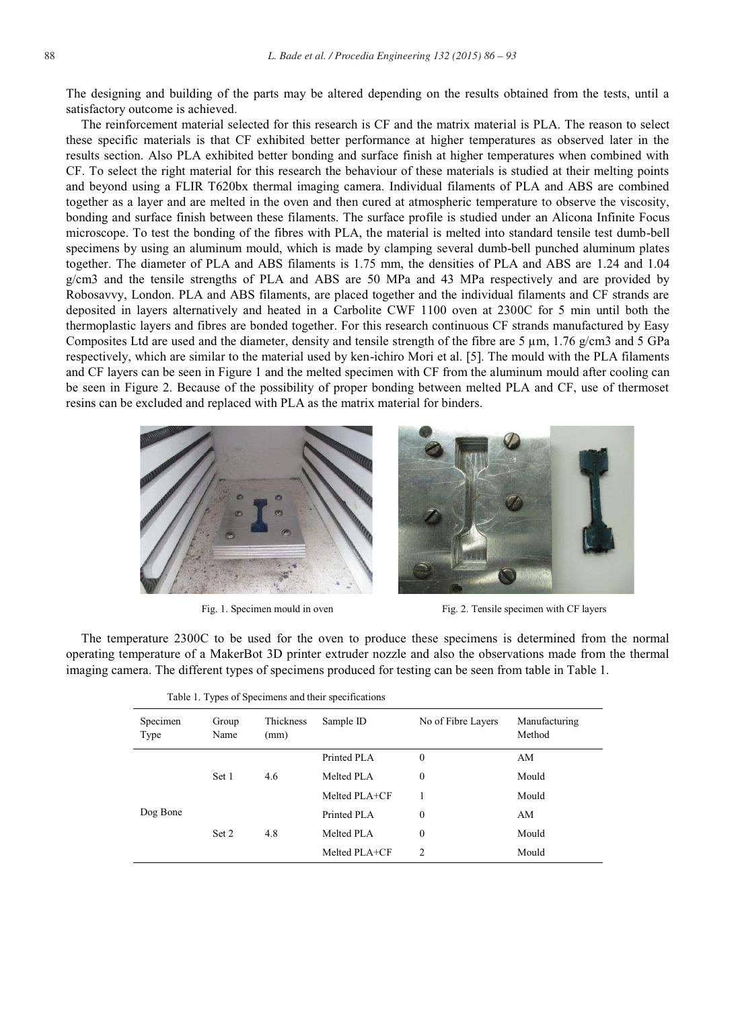The designing and building of the parts may be altered depending on the results obtained from the tests, until a satisfactory outcome is achieved.

The reinforcement material selected for this research is CF and the matrix material is PLA. The reason to select these specific materials is that CF exhibited better performance at higher temperatures as observed later in the results section. Also PLA exhibited better bonding and surface finish at higher temperatures when combined with CF. To select the right material for this research the behaviour of these materials is studied at their melting points and beyond using a FLIR T620bx thermal imaging camera. Individual filaments of PLA and ABS are combined together as a layer and are melted in the oven and then cured at atmospheric temperature to observe the viscosity, bonding and surface finish between these filaments. The surface profile is studied under an Alicona Infinite Focus microscope. To test the bonding of the fibres with PLA, the material is melted into standard tensile test dumb-bell specimens by using an aluminum mould, which is made by clamping several dumb-bell punched aluminum plates together. The diameter of PLA and ABS filaments is 1.75 mm, the densities of PLA and ABS are 1.24 and 1.04 g/cm3 and the tensile strengths of PLA and ABS are 50 MPa and 43 MPa respectively and are provided by Robosavvy, London. PLA and ABS filaments, are placed together and the individual filaments and CF strands are deposited in layers alternatively and heated in a Carbolite CWF 1100 oven at 2300C for 5 min until both the thermoplastic layers and fibres are bonded together. For this research continuous CF strands manufactured by Easy Composites Ltd are used and the diameter, density and tensile strength of the fibre are  $5 \mu m$ ,  $1.76 \mu cm^3$  and  $5 \text{ GPa}$ respectively, which are similar to the material used by ken-ichiro Mori et al. [5]. The mould with the PLA filaments and CF layers can be seen in Figure 1 and the melted specimen with CF from the aluminum mould after cooling can be seen in Figure 2. Because of the possibility of proper bonding between melted PLA and CF, use of thermoset resins can be excluded and replaced with PLA as the matrix material for binders.



Fig. 1. Specimen mould in oven Fig. 2. Tensile specimen with CF layers

The temperature 2300C to be used for the oven to produce these specimens is determined from the normal operating temperature of a MakerBot 3D printer extruder nozzle and also the observations made from the thermal imaging camera. The different types of specimens produced for testing can be seen from table in Table 1.

| Specimen<br>Type | Group<br>Name | Thickness<br>(mm) | Table 1. Types of Specificals and their specifications<br>Sample ID<br>No of Fibre Layers |                  | Manufacturing<br>Method |
|------------------|---------------|-------------------|-------------------------------------------------------------------------------------------|------------------|-------------------------|
|                  | Set 1         | 4.6               | Printed PLA                                                                               | $\mathbf{0}$     | AM                      |
|                  |               |                   | Melted PLA                                                                                | $\mathbf{0}$     | Mould                   |
|                  |               |                   | Melted PLA+CF                                                                             |                  | Mould                   |
| Dog Bone         | Set 2         | 4.8               | Printed PLA                                                                               | $\boldsymbol{0}$ | AM                      |
|                  |               |                   | Melted PLA                                                                                | $\boldsymbol{0}$ | Mould                   |
|                  |               |                   | Melted PLA+CF                                                                             | 2                | Mould                   |

|  |  |  |  | Table 1. Types of Specimens and their specifications |
|--|--|--|--|------------------------------------------------------|
|--|--|--|--|------------------------------------------------------|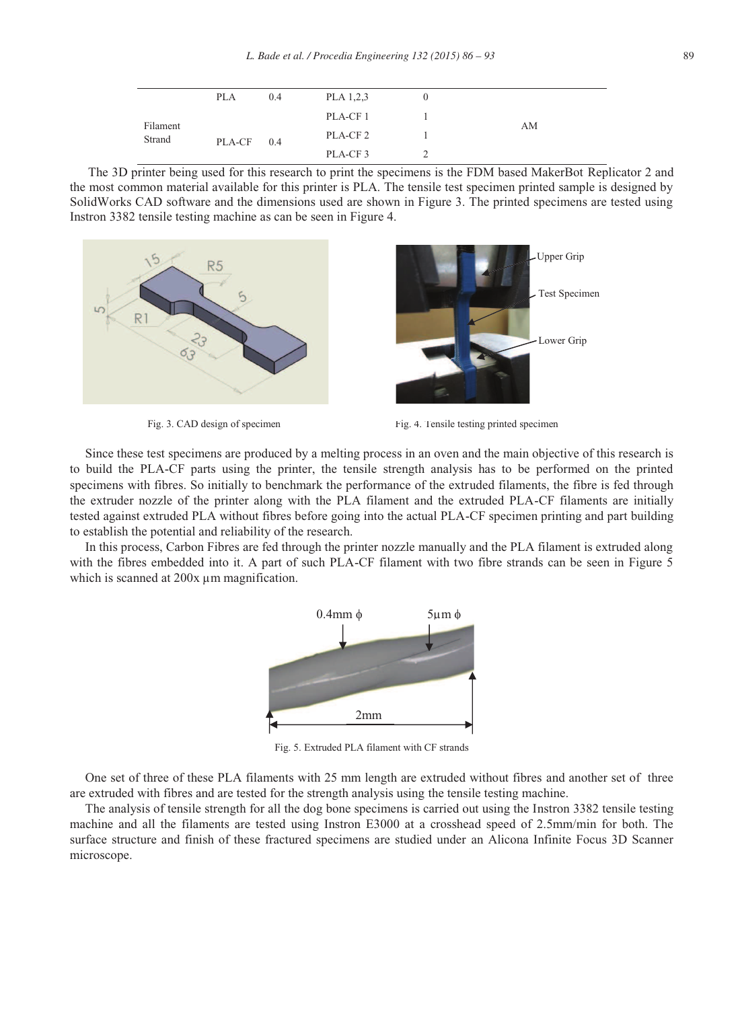| Filament<br>Strand | <b>PLA</b> | 0.4 | PLA 1,2,3           |    |
|--------------------|------------|-----|---------------------|----|
|                    | PLA-CF     | 0.4 | PLA-CF 1            |    |
|                    |            |     | PLA-CF <sub>2</sub> | AM |
|                    |            |     | PLA-CF <sub>3</sub> |    |

The 3D printer being used for this research to print the specimens is the FDM based MakerBot Replicator 2 and the most common material available for this printer is PLA. The tensile test specimen printed sample is designed by SolidWorks CAD software and the dimensions used are shown in Figure 3. The printed specimens are tested using Instron 3382 tensile testing machine as can be seen in Figure 4.



Fig. 3. CAD design of specimen Fig. 4. Tensile testing printed specimen

Since these test specimens are produced by a melting process in an oven and the main objective of this research is to build the PLA-CF parts using the printer, the tensile strength analysis has to be performed on the printed specimens with fibres. So initially to benchmark the performance of the extruded filaments, the fibre is fed through the extruder nozzle of the printer along with the PLA filament and the extruded PLA-CF filaments are initially tested against extruded PLA without fibres before going into the actual PLA-CF specimen printing and part building to establish the potential and reliability of the research.

In this process, Carbon Fibres are fed through the printer nozzle manually and the PLA filament is extruded along with the fibres embedded into it. A part of such PLA-CF filament with two fibre strands can be seen in Figure 5 which is scanned at 200x  $\mu$ m magnification.



Fig. 5. Extruded PLA filament with CF strands

One set of three of these PLA filaments with 25 mm length are extruded without fibres and another set of three are extruded with fibres and are tested for the strength analysis using the tensile testing machine.

The analysis of tensile strength for all the dog bone specimens is carried out using the Instron 3382 tensile testing machine and all the filaments are tested using Instron E3000 at a crosshead speed of 2.5mm/min for both. The surface structure and finish of these fractured specimens are studied under an Alicona Infinite Focus 3D Scanner microscope.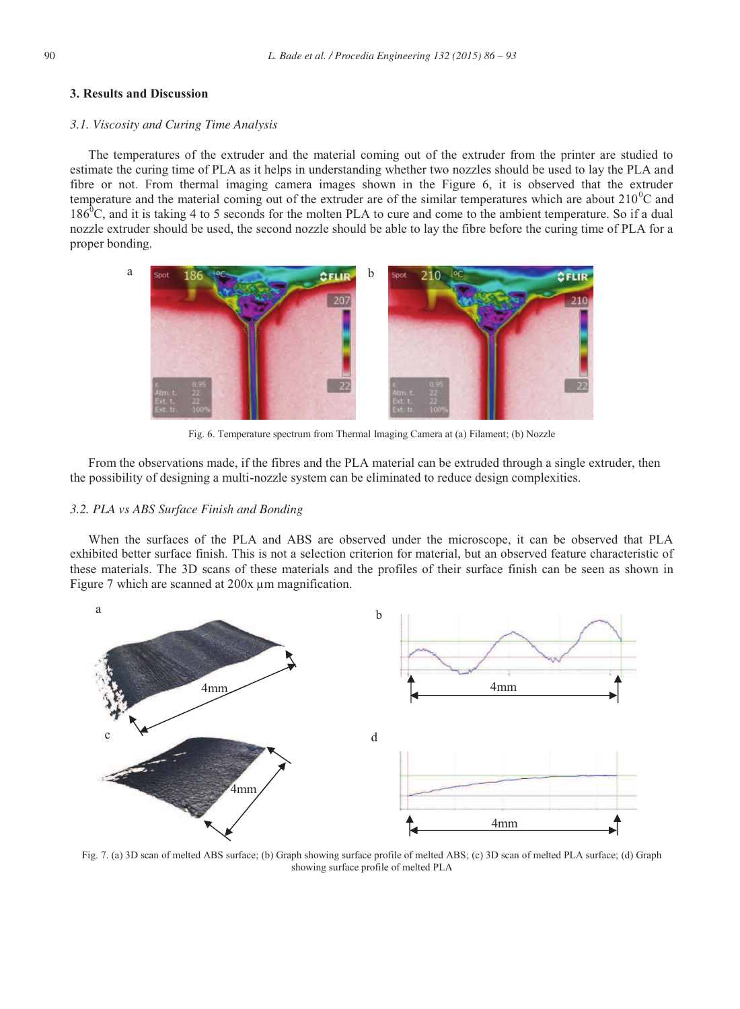#### **3. Results and Discussion**

#### *3.1. Viscosity and Curing Time Analysis*

The temperatures of the extruder and the material coming out of the extruder from the printer are studied to estimate the curing time of PLA as it helps in understanding whether two nozzles should be used to lay the PLA and fibre or not. From thermal imaging camera images shown in the Figure 6, it is observed that the extruder temperature and the material coming out of the extruder are of the similar temperatures which are about  $210^{\circ}$ C and  $186\text{°C}$ , and it is taking 4 to 5 seconds for the molten PLA to cure and come to the ambient temperature. So if a dual nozzle extruder should be used, the second nozzle should be able to lay the fibre before the curing time of PLA for a proper bonding.



Fig. 6. Temperature spectrum from Thermal Imaging Camera at (a) Filament; (b) Nozzle

From the observations made, if the fibres and the PLA material can be extruded through a single extruder, then the possibility of designing a multi-nozzle system can be eliminated to reduce design complexities.

#### *3.2. PLA vs ABS Surface Finish and Bonding*

When the surfaces of the PLA and ABS are observed under the microscope, it can be observed that PLA exhibited better surface finish. This is not a selection criterion for material, but an observed feature characteristic of these materials. The 3D scans of these materials and the profiles of their surface finish can be seen as shown in Figure 7 which are scanned at 200x  $\mu$ m magnification.



Fig. 7. (a) 3D scan of melted ABS surface; (b) Graph showing surface profile of melted ABS; (c) 3D scan of melted PLA surface; (d) Graph showing surface profile of melted PLA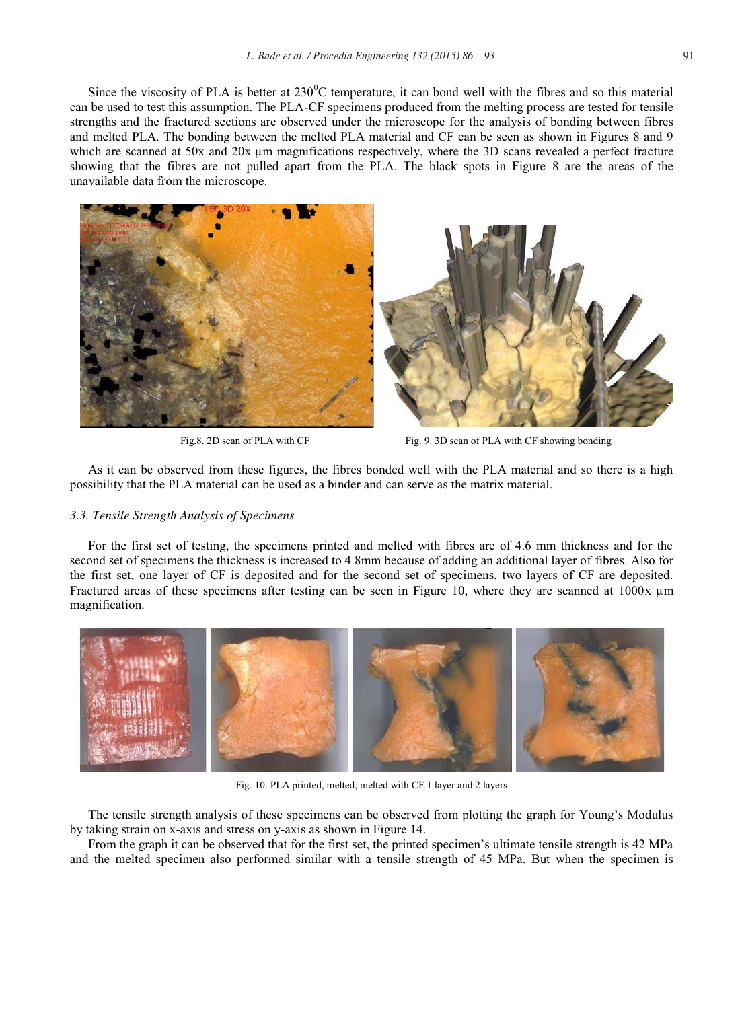Since the viscosity of PLA is better at  $230^{\circ}$ C temperature, it can bond well with the fibres and so this material can be used to test this assumption. The PLA-CF specimens produced from the melting process are tested for tensile strengths and the fractured sections are observed under the microscope for the analysis of bonding between fibres and melted PLA. The bonding between the melted PLA material and CF can be seen as shown in Figures 8 and 9 which are scanned at 50x and 20x µm magnifications respectively, where the 3D scans revealed a perfect fracture showing that the fibres are not pulled apart from the PLA. The black spots in Figure 8 are the areas of the unavailable data from the microscope.





Fig.8. 2D scan of PLA with CF Fig. 9. 3D scan of PLA with CF showing bonding

As it can be observed from these figures, the fibres bonded well with the PLA material and so there is a high possibility that the PLA material can be used as a binder and can serve as the matrix material.

#### *3.3. Tensile Strength Analysis of Specimens*

For the first set of testing, the specimens printed and melted with fibres are of 4.6 mm thickness and for the second set of specimens the thickness is increased to 4.8mm because of adding an additional layer of fibres. Also for the first set, one layer of CF is deposited and for the second set of specimens, two layers of CF are deposited. Fractured areas of these specimens after testing can be seen in Figure 10, where they are scanned at 1000x µm magnification.



Fig. 10. PLA printed, melted, melted with CF 1 layer and 2 layers

The tensile strength analysis of these specimens can be observed from plotting the graph for Young's Modulus by taking strain on x-axis and stress on y-axis as shown in Figure 14.

From the graph it can be observed that for the first set, the printed specimen's ultimate tensile strength is 42 MPa and the melted specimen also performed similar with a tensile strength of 45 MPa. But when the specimen is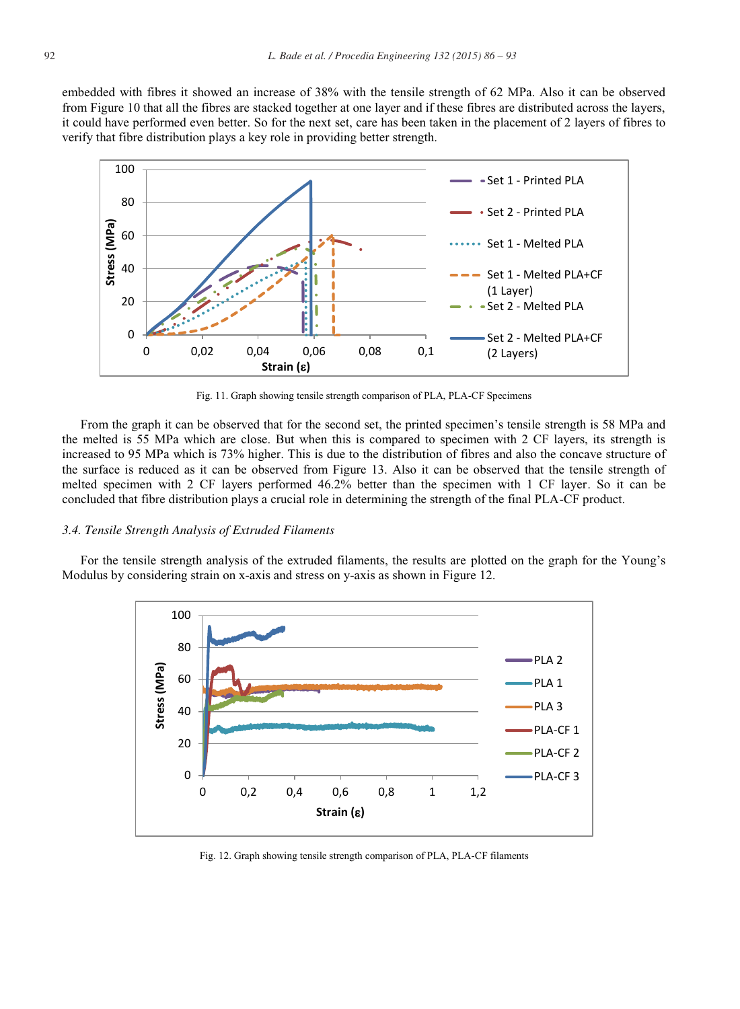embedded with fibres it showed an increase of 38% with the tensile strength of 62 MPa. Also it can be observed from Figure 10 that all the fibres are stacked together at one layer and if these fibres are distributed across the layers, it could have performed even better. So for the next set, care has been taken in the placement of 2 layers of fibres to verify that fibre distribution plays a key role in providing better strength.



Fig. 11. Graph showing tensile strength comparison of PLA, PLA-CF Specimens

From the graph it can be observed that for the second set, the printed specimen's tensile strength is 58 MPa and the melted is 55 MPa which are close. But when this is compared to specimen with 2 CF layers, its strength is increased to 95 MPa which is 73% higher. This is due to the distribution of fibres and also the concave structure of the surface is reduced as it can be observed from Figure 13. Also it can be observed that the tensile strength of melted specimen with 2 CF layers performed 46.2% better than the specimen with 1 CF layer. So it can be concluded that fibre distribution plays a crucial role in determining the strength of the final PLA-CF product.

#### *3.4. Tensile Strength Analysis of Extruded Filaments*

For the tensile strength analysis of the extruded filaments, the results are plotted on the graph for the Young's Modulus by considering strain on x-axis and stress on y-axis as shown in Figure 12.



Fig. 12. Graph showing tensile strength comparison of PLA, PLA-CF filaments